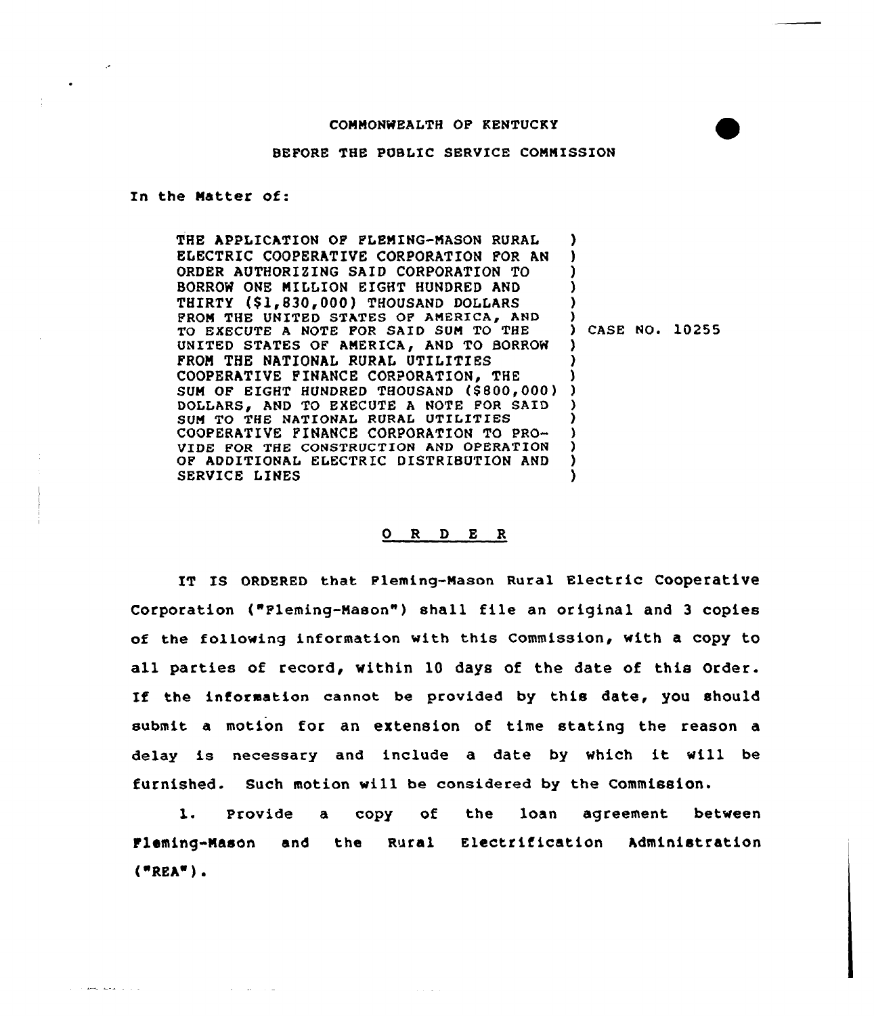## COMMONWEALTH OF KENTUCKY

## BEFORE THE PUBLIC SERVICE COMMISSION

## In the Natter of:

الرابات المحلم المسمات

THE APPLICATION OF FLEMING-MASON RURAL ELECTRIC COOPERATIVE CORPORATION FOR AN ORDER AUTHORIZING SAID CORPORATION TO BORROW ONE MILLION EXGHT HUNDRED AND THIRTY (\$1,830,000) THOUSAND DOLLARS PROM THE UNITED STATES OF AMERICA, AND TO EXECUTE <sup>A</sup> NOTE FOR SAID SUM TO THE UNITED STATES OF AMERICA, AND TO BORROW FROM THE NATIONAL RURAL UTILITIES COOPERATIVE FINANCE CORPORATION, THE COOPERATIVE FINANCE CORPORATION, THE )<br>SUM OF EIGHT HUNDRED THOUSAND (\$800,000) ) DOLLARS, AND TO EXECUTE A NOTE FOR SAID SUN TO THE NATIONAL RURAL UTILITIES COOPERATIVE FINANCE CORPORATION TO PRO-VIDE FOR THE CONSTRVCTION AND OPERATION OF ADDITIONAL ELECTRIC DISTRIBUTION AND SERVICE LINES ) ) ) ) ) ) ) CASE NO. 10255 ) ) ) ) ) ) ) ) )

## 0 R <sup>D</sup> E R

IT IS ORDERED that Pleming-Mason Rural Electric Cooperative Corporation ("Fleming-Mason" ) shall file an original and <sup>3</sup> copies of the following information with this Commission, with a copy to all parties of record, within 10 days of the date of this Order. If the information cannot be provided by this date, you should submit a motion for an extension of time stating the reason a delay is necessary and include <sup>a</sup> date by which it will be furnished. Such motion will be considered by the Commission.

1. Provide a copy of the loan agreement betwee Fleming-Mason and the Rural Electrification Administration  $("REA")$ .